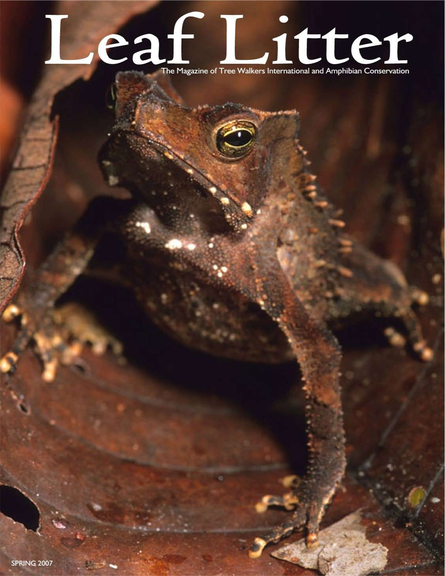# Leaf Lite Walkers International and Amphibian Conservation

SPRING 2007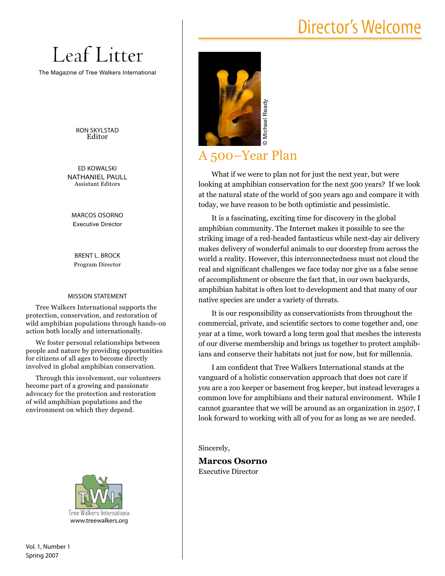## Director's Welcome

# Leaf Litter

The Magazine of Tree Walkers International

RON SKYLSTAD Editor

ED KOWALSKI NATHANIEL PAULL Assistant Editors

MARCOS OSORNO Executive Director

BRENT L. BROCK Program Director

#### MISSION STATEMENT

Tree Walkers International supports the protection, conservation, and restoration of wild amphibian populations through hands-on action both locally and internationally.

We foster personal relationships between people and nature by providing opportunities for citizens of all ages to become directly involved in global amphibian conservation.

Through this involvement, our volunteers become part of a growing and passionate advocacy for the protection and restoration of wild amphibian populations and the environment on which they depend.



Vol. 1, Number 1 Spring 2007



A 500–Year Plan

What if we were to plan not for just the next year, but were looking at amphibian conservation for the next 500 years? If we look at the natural state of the world of 500 years ago and compare it with today, we have reason to be both optimistic and pessimistic.

It is a fascinating, exciting time for discovery in the global amphibian community. The Internet makes it possible to see the striking image of a red-headed fantasticus while next-day air delivery makes delivery of wonderful animals to our doorstep from across the world a reality. However, this interconnectedness must not cloud the real and significant challenges we face today nor give us a false sense of accomplishment or obscure the fact that, in our own backyards, amphibian habitat is often lost to development and that many of our native species are under a variety of threats.

It is our responsibility as conservationists from throughout the commercial, private, and scientific sectors to come together and, one year at a time, work toward a long term goal that meshes the interests of our diverse membership and brings us together to protect amphibians and conserve their habitats not just for now, but for millennia.

I am confident that Tree Walkers International stands at the vanguard of a holistic conservation approach that does not care if you are a zoo keeper or basement frog keeper, but instead leverages a common love for amphibians and their natural environment. While I cannot guarantee that we will be around as an organization in 2507, I look forward to working with all of you for as long as we are needed.

Sincerely,

**Marcos Osorno** Executive Director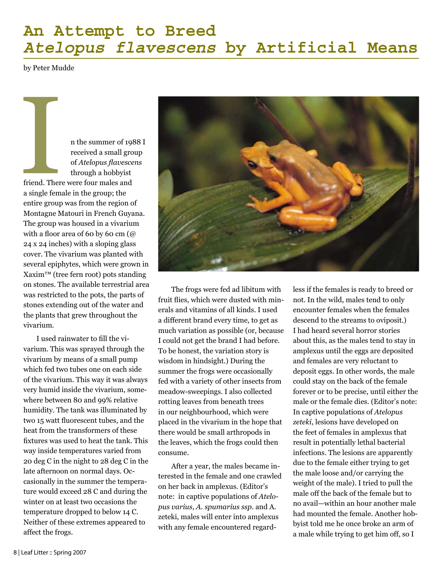## **An Attempt to Breed** *Atelopus flavescens* **by Artificial Means**

by Peter Mudde

n the summer of 1988 I received a small group of *Atelopus flavescens* through a hobbyist

friend. There were four males and a single female in the group; the entire group was from the region of Montagne Matouri in French Guyana. The group was housed in a vivarium with a floor area of 60 by 60 cm (@ 24 x 24 inches) with a sloping glass cover. The vivarium was planted with several epiphytes, which were grown in Xaxim™ (tree fern root) pots standing on stones. The available terrestrial area was restricted to the pots, the parts of stones extending out of the water and the plants that grew throughout the vivarium. Friend. Then

I used rainwater to fill the vivarium. This was sprayed through the vivarium by means of a small pump which fed two tubes one on each side of the vivarium. This way it was always very humid inside the vivarium, somewhere between 80 and 99% relative humidity. The tank was illuminated by two 15 watt fluorescent tubes, and the heat from the transformers of these fixtures was used to heat the tank. This way inside temperatures varied from 20 deg C in the night to 28 deg C in the late afternoon on normal days. Occasionally in the summer the temperature would exceed 28 C and during the winter on at least two occasions the temperature dropped to below 14 C. Neither of these extremes appeared to affect the frogs.



The frogs were fed ad libitum with fruit flies, which were dusted with minerals and vitamins of all kinds. I used a different brand every time, to get as much variation as possible (or, because I could not get the brand I had before. To be honest, the variation story is wisdom in hindsight.) During the summer the frogs were occasionally fed with a variety of other insects from meadow-sweepings. I also collected rotting leaves from beneath trees in our neighbourhood, which were placed in the vivarium in the hope that there would be small arthropods in the leaves, which the frogs could then consume.

After a year, the males became interested in the female and one crawled on her back in amplexus. (Editor's note: in captive populations of *Atelopus varius*, *A. spumarius ssp*. and A. zeteki, males will enter into amplexus with any female encountered regardless if the females is ready to breed or not. In the wild, males tend to only encounter females when the females descend to the streams to oviposit.) I had heard several horror stories about this, as the males tend to stay in amplexus until the eggs are deposited and females are very reluctant to deposit eggs. In other words, the male could stay on the back of the female forever or to be precise, until either the male or the female dies. (Editor's note: In captive populations of *Atelopus zeteki*, lesions have developed on the feet of females in amplexus that result in potentially lethal bacterial infections. The lesions are apparently due to the female either trying to get the male loose and/or carrying the weight of the male). I tried to pull the male off the back of the female but to no avail—within an hour another male had mounted the female. Another hobbyist told me he once broke an arm of a male while trying to get him off, so I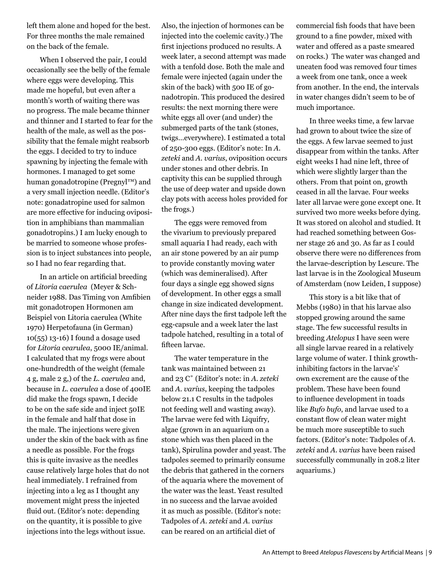left them alone and hoped for the best. For three months the male remained on the back of the female.

When I observed the pair, I could occasionally see the belly of the female where eggs were developing. This made me hopeful, but even after a month's worth of waiting there was no progress. The male became thinner and thinner and I started to fear for the health of the male, as well as the possibility that the female might reabsorb the eggs. I decided to try to induce spawning by injecting the female with hormones. I managed to get some human gonadotropine (Pregnyl™) and a very small injection needle. (Editor's note: gonadatropine used for salmon are more effective for inducing oviposition in amphibians than mammalian gonadotropins.) I am lucky enough to be married to someone whose profession is to inject substances into people, so I had no fear regarding that.

In an article on artificial breeding of *Litoria caerulea* (Meyer & Schneider 1988. Das Timing von Amfibien mit gonadotropen Hormonen am Beispiel von Litoria caerulea (White 1970) Herpetofauna (in German) 10(55) 13-16) I found a dosage used for *Litoria cearulea*, 5000 IE/animal. I calculated that my frogs were about one-hundredth of the weight (female 4 g, male 2 g,) of the *L. caerulea* and, because in *L. caerulea* a dose of 400IE did make the frogs spawn, I decide to be on the safe side and inject 50IE in the female and half that dose in the male. The injections were given under the skin of the back with as fine a needle as possible. For the frogs this is quite invasive as the needles cause relatively large holes that do not heal immediately. I refrained from injecting into a leg as I thought any movement might press the injected fluid out. (Editor's note: depending on the quantity, it is possible to give injections into the legs without issue.

Also, the injection of hormones can be injected into the coelemic cavity.) The first injections produced no results. A week later, a second attempt was made with a tenfold dose. Both the male and female were injected (again under the skin of the back) with 500 IE of gonadotropin. This produced the desired results: the next morning there were white eggs all over (and under) the submerged parts of the tank (stones, twigs…everywhere). I estimated a total of 250-300 eggs. (Editor's note: In *A. zeteki* and *A. varius*, oviposition occurs under stones and other debris. In captivity this can be supplied through the use of deep water and upside down clay pots with access holes provided for the frogs.)

The eggs were removed from the vivarium to previously prepared small aquaria I had ready, each with an air stone powered by an air pump to provide constantly moving water (which was demineralised). After four days a single egg showed signs of development. In other eggs a small change in size indicated development. After nine days the first tadpole left the egg-capsule and a week later the last tadpole hatched, resulting in a total of fifteen larvae.

The water temperature in the tank was maintained between 21 and 23 C˚ (Editor's note: in *A. zeteki*  and *A. varius*, keeping the tadpoles below 21.1 C results in the tadpoles not feeding well and wasting away). The larvae were fed with Liquifry, algae (grown in an aquarium on a stone which was then placed in the tank), Spirulina powder and yeast. The tadpoles seemed to primarily consume the debris that gathered in the corners of the aquaria where the movement of the water was the least. Yeast resulted in no success and the larvae avoided it as much as possible. (Editor's note: Tadpoles of *A. zeteki* and *A. varius*  can be reared on an artificial diet of

commercial fish foods that have been ground to a fine powder, mixed with water and offered as a paste smeared on rocks.) The water was changed and uneaten food was removed four times a week from one tank, once a week from another. In the end, the intervals in water changes didn't seem to be of much importance.

In three weeks time, a few larvae had grown to about twice the size of the eggs. A few larvae seemed to just disappear from within the tanks. After eight weeks I had nine left, three of which were slightly larger than the others. From that point on, growth ceased in all the larvae. Four weeks later all larvae were gone except one. It survived two more weeks before dying. It was stored on alcohol and studied. It had reached something between Gosner stage 26 and 30. As far as I could observe there were no differences from the larvae-description by Lescure. The last larvae is in the Zoological Museum of Amsterdam (now Leiden, I suppose)

This story is a bit like that of Mebbs (1980) in that his larvae also stopped growing around the same stage. The few successful results in breeding *Atelopus* I have seen were all single larvae reared in a relatively large volume of water. I think growthinhibiting factors in the larvae's' own excrement are the cause of the problem. These have been found to influence development in toads like *Bufo bufo*, and larvae used to a constant flow of clean water might be much more susceptible to such factors. (Editor's note: Tadpoles of *A. zeteki* and *A. varius* have been raised successfully communally in 208.2 liter aquariums.)